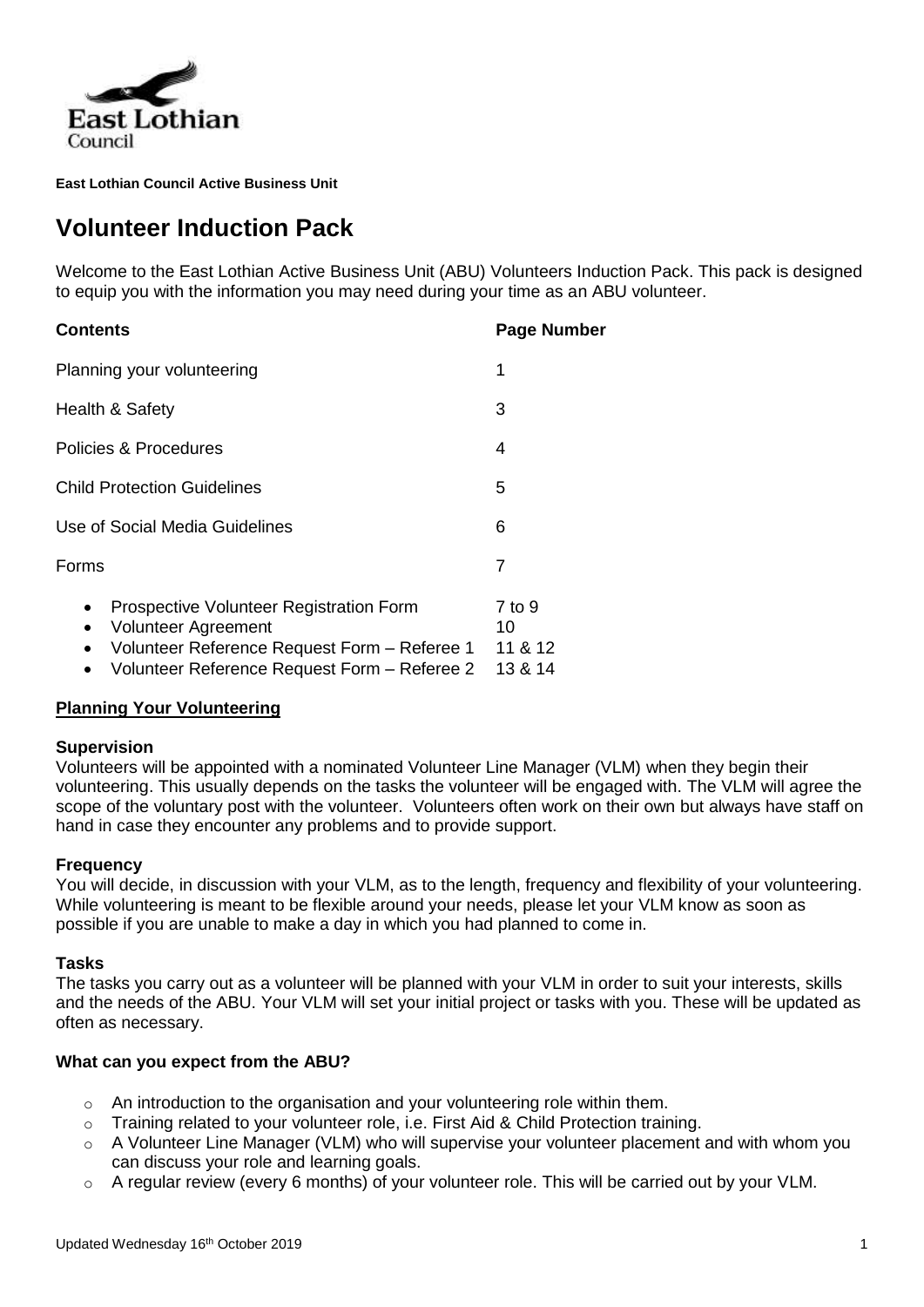

# **Volunteer Induction Pack**

Welcome to the East Lothian Active Business Unit (ABU) Volunteers Induction Pack. This pack is designed to equip you with the information you may need during your time as an ABU volunteer.

| <b>Contents</b>                                                                                                                                                                                              | <b>Page Number</b>                 |
|--------------------------------------------------------------------------------------------------------------------------------------------------------------------------------------------------------------|------------------------------------|
| Planning your volunteering                                                                                                                                                                                   | 1                                  |
| Health & Safety                                                                                                                                                                                              | 3                                  |
| Policies & Procedures                                                                                                                                                                                        | 4                                  |
| <b>Child Protection Guidelines</b>                                                                                                                                                                           | 5                                  |
| Use of Social Media Guidelines                                                                                                                                                                               | 6                                  |
| Forms                                                                                                                                                                                                        | 7                                  |
| Prospective Volunteer Registration Form<br>$\bullet$<br><b>Volunteer Agreement</b><br>$\bullet$<br>Volunteer Reference Request Form - Referee 1<br>$\bullet$<br>Volunteer Reference Request Form - Referee 2 | 7 to 9<br>10<br>11 & 12<br>13 & 14 |

# **Planning Your Volunteering**

# **Supervision**

Volunteers will be appointed with a nominated Volunteer Line Manager (VLM) when they begin their volunteering. This usually depends on the tasks the volunteer will be engaged with. The VLM will agree the scope of the voluntary post with the volunteer. Volunteers often work on their own but always have staff on hand in case they encounter any problems and to provide support.

# **Frequency**

You will decide, in discussion with your VLM, as to the length, frequency and flexibility of your volunteering. While volunteering is meant to be flexible around your needs, please let your VLM know as soon as possible if you are unable to make a day in which you had planned to come in.

# **Tasks**

The tasks you carry out as a volunteer will be planned with your VLM in order to suit your interests, skills and the needs of the ABU. Your VLM will set your initial project or tasks with you. These will be updated as often as necessary.

# **What can you expect from the ABU?**

- $\circ$  An introduction to the organisation and your volunteering role within them.
- $\circ$  Training related to your volunteer role, i.e. First Aid & Child Protection training.
- o A Volunteer Line Manager (VLM) who will supervise your volunteer placement and with whom you can discuss your role and learning goals.
- o A regular review (every 6 months) of your volunteer role. This will be carried out by your VLM.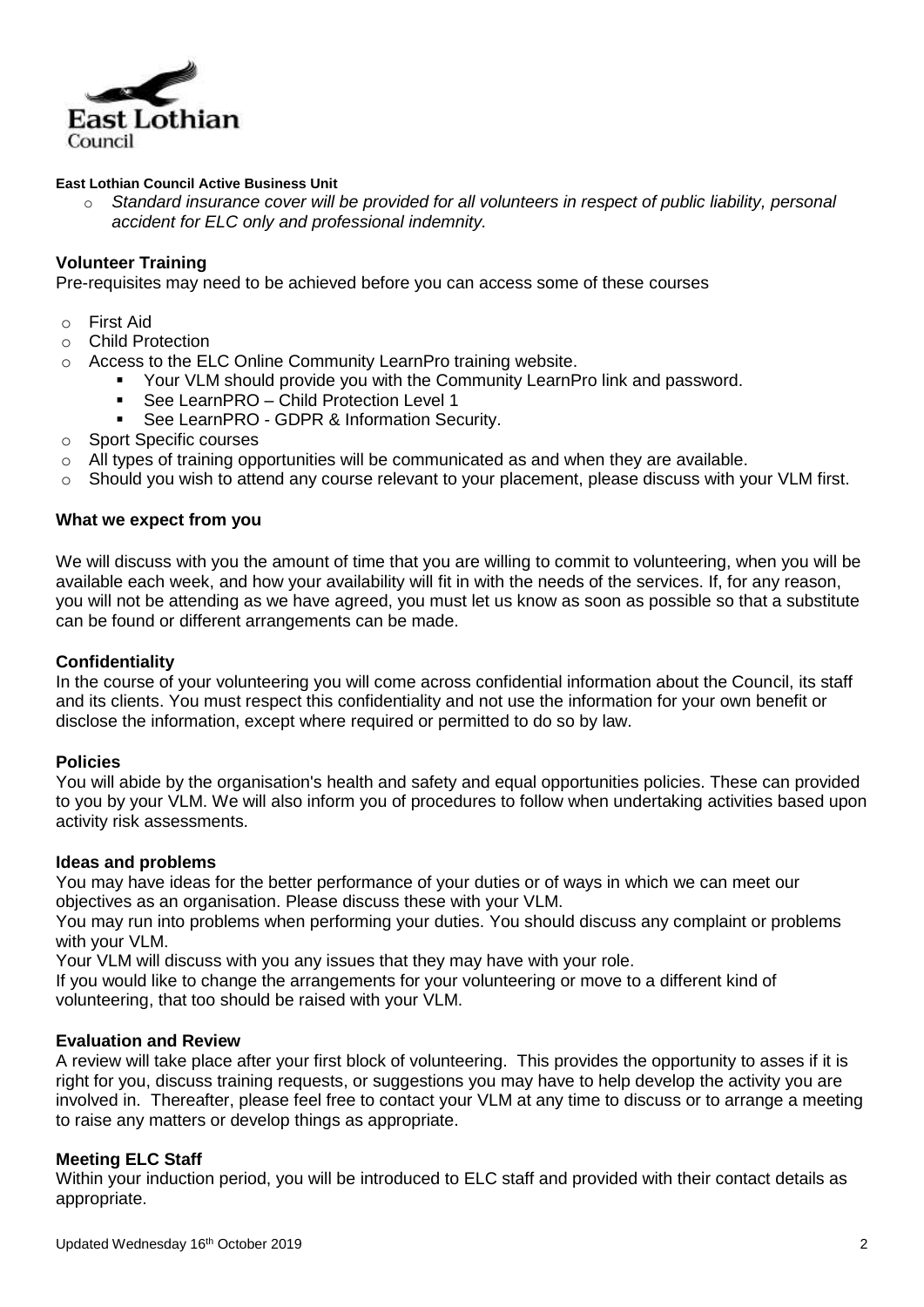

Standard insurance cover will be provided for all volunteers in respect of public liability, personal *accident for ELC only and professional indemnity.*

# **Volunteer Training**

Pre-requisites may need to be achieved before you can access some of these courses

- o First Aid
- o Child Protection
- o Access to the ELC Online Community LearnPro training website.
	- Your VLM should provide you with the Community LearnPro link and password.
	- See LearnPRO Child Protection Level 1<br>■ See LearnPRO GDPR & Information Sec
	- See LearnPRO GDPR & Information Security.
- o Sport Specific courses
- $\circ$  All types of training opportunities will be communicated as and when they are available.
- $\circ$  Should you wish to attend any course relevant to your placement, please discuss with your VLM first.

# **What we expect from you**

We will discuss with you the amount of time that you are willing to commit to volunteering, when you will be available each week, and how your availability will fit in with the needs of the services. If, for any reason, you will not be attending as we have agreed, you must let us know as soon as possible so that a substitute can be found or different arrangements can be made.

# **Confidentiality**

In the course of your volunteering you will come across confidential information about the Council, its staff and its clients. You must respect this confidentiality and not use the information for your own benefit or disclose the information, except where required or permitted to do so by law.

# **Policies**

You will abide by the organisation's health and safety and equal opportunities policies. These can provided to you by your VLM. We will also inform you of procedures to follow when undertaking activities based upon activity risk assessments.

# **Ideas and problems**

You may have ideas for the better performance of your duties or of ways in which we can meet our objectives as an organisation. Please discuss these with your VLM.

You may run into problems when performing your duties. You should discuss any complaint or problems with your VLM.

Your VLM will discuss with you any issues that they may have with your role.

If you would like to change the arrangements for your volunteering or move to a different kind of volunteering, that too should be raised with your VLM.

# **Evaluation and Review**

A review will take place after your first block of volunteering. This provides the opportunity to asses if it is right for you, discuss training requests, or suggestions you may have to help develop the activity you are involved in. Thereafter, please feel free to contact your VLM at any time to discuss or to arrange a meeting to raise any matters or develop things as appropriate.

# **Meeting ELC Staff**

Within your induction period, you will be introduced to ELC staff and provided with their contact details as appropriate.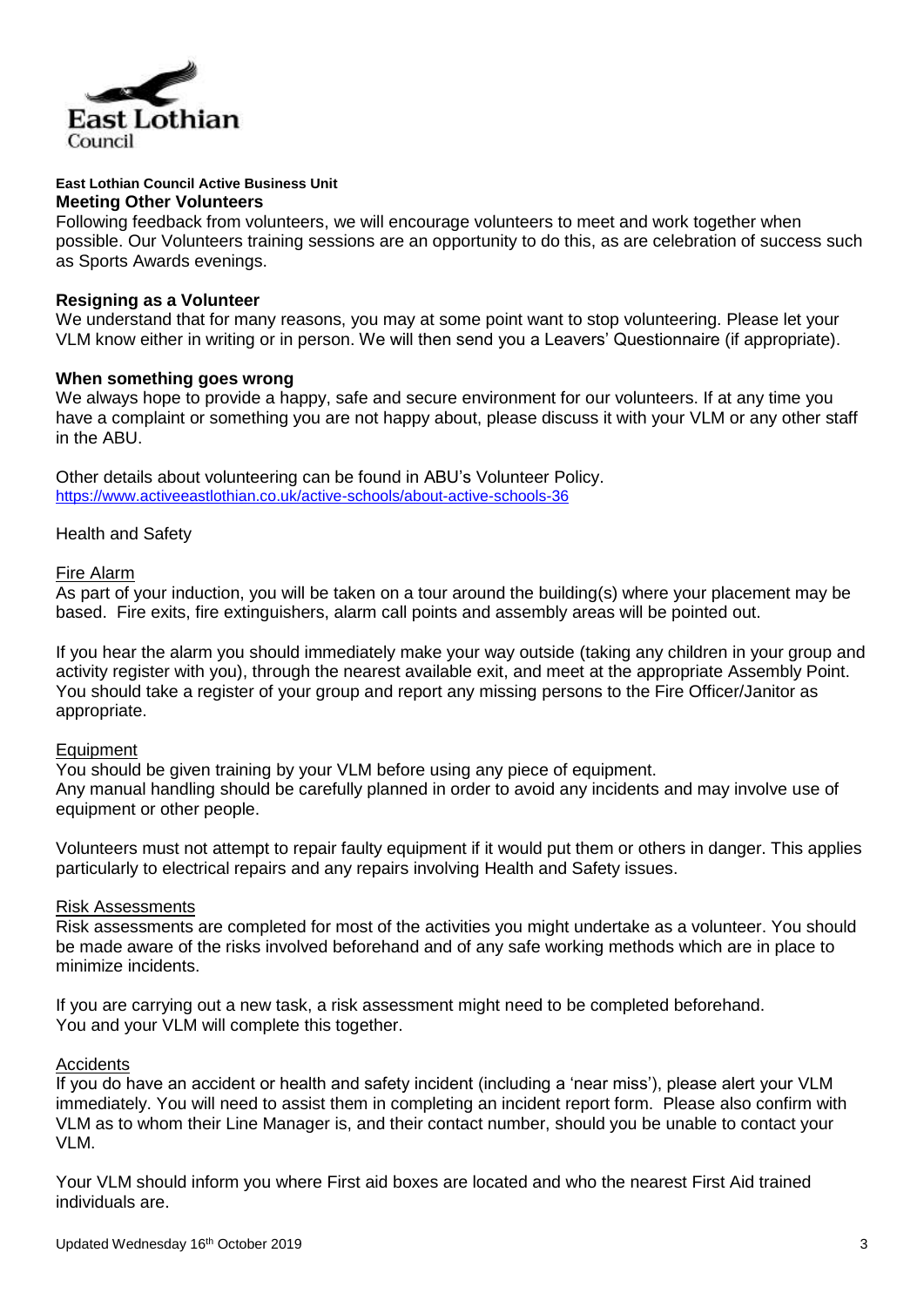

#### **East Lothian Council Active Business Unit Meeting Other Volunteers**

Following feedback from volunteers, we will encourage volunteers to meet and work together when possible. Our Volunteers training sessions are an opportunity to do this, as are celebration of success such as Sports Awards evenings.

# **Resigning as a Volunteer**

We understand that for many reasons, you may at some point want to stop volunteering. Please let your VLM know either in writing or in person. We will then send you a Leavers' Questionnaire (if appropriate).

# **When something goes wrong**

We always hope to provide a happy, safe and secure environment for our volunteers. If at any time you have a complaint or something you are not happy about, please discuss it with your VLM or any other staff in the ABU.

Other details about volunteering can be found in ABU's Volunteer Policy. <https://www.activeeastlothian.co.uk/active-schools/about-active-schools-36>

Health and Safety

# Fire Alarm

As part of your induction, you will be taken on a tour around the building(s) where your placement may be based. Fire exits, fire extinguishers, alarm call points and assembly areas will be pointed out.

If you hear the alarm you should immediately make your way outside (taking any children in your group and activity register with you), through the nearest available exit, and meet at the appropriate Assembly Point. You should take a register of your group and report any missing persons to the Fire Officer/Janitor as appropriate.

# **Equipment**

You should be given training by your VLM before using any piece of equipment. Any manual handling should be carefully planned in order to avoid any incidents and may involve use of equipment or other people.

Volunteers must not attempt to repair faulty equipment if it would put them or others in danger. This applies particularly to electrical repairs and any repairs involving Health and Safety issues.

# Risk Assessments

Risk assessments are completed for most of the activities you might undertake as a volunteer. You should be made aware of the risks involved beforehand and of any safe working methods which are in place to minimize incidents.

If you are carrying out a new task, a risk assessment might need to be completed beforehand. You and your VLM will complete this together.

# **Accidents**

If you do have an accident or health and safety incident (including a 'near miss'), please alert your VLM immediately. You will need to assist them in completing an incident report form. Please also confirm with VLM as to whom their Line Manager is, and their contact number, should you be unable to contact your VLM.

Your VLM should inform you where First aid boxes are located and who the nearest First Aid trained individuals are.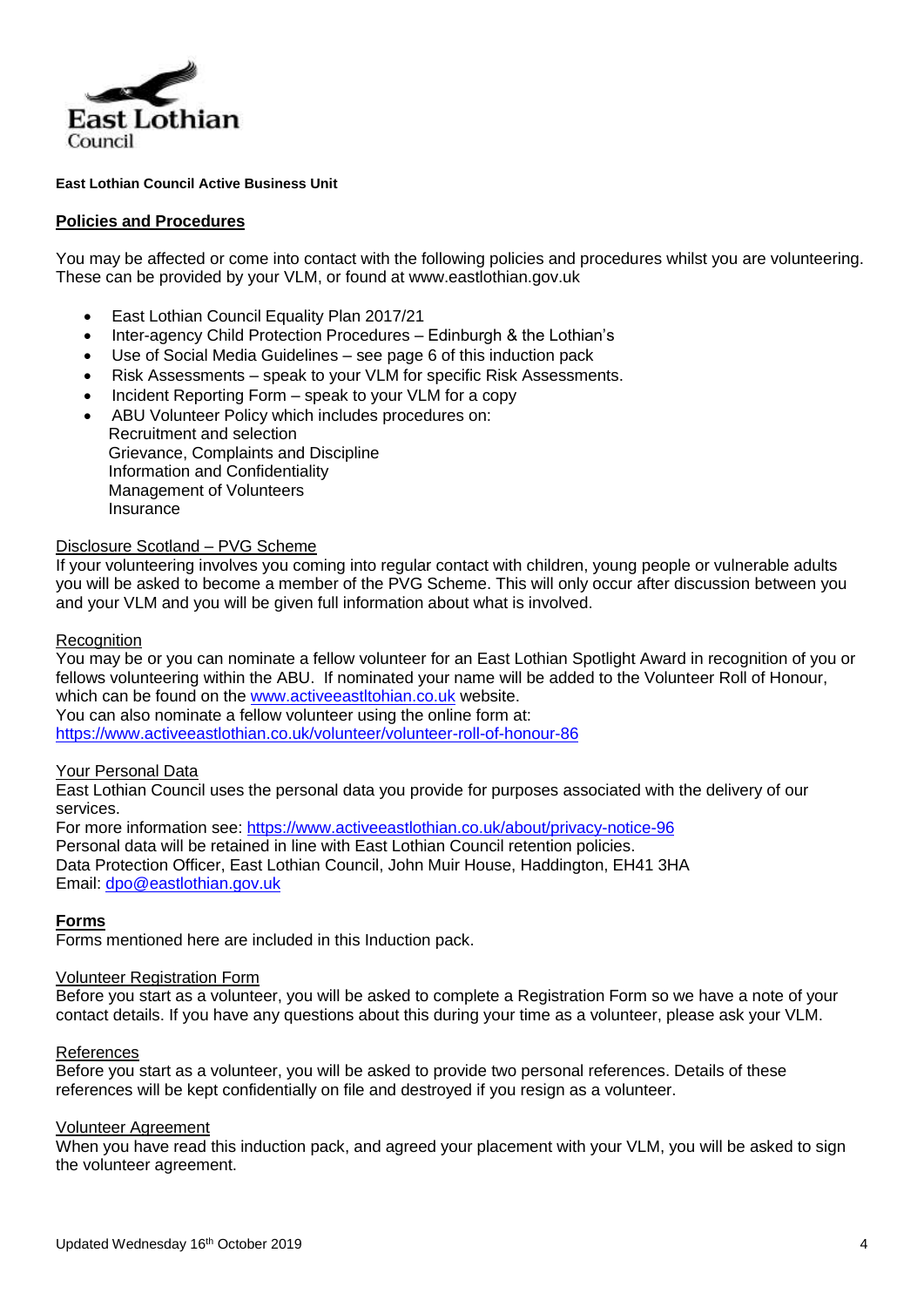

# **Policies and Procedures**

You may be affected or come into contact with the following policies and procedures whilst you are volunteering. These can be provided by your VLM, or found at www.eastlothian.gov.uk

- East Lothian Council Equality Plan 2017/21
- Inter-agency Child Protection Procedures Edinburgh & the Lothian's
- Use of Social Media Guidelines see page 6 of this induction pack
- Risk Assessments speak to your VLM for specific Risk Assessments.
- Incident Reporting Form speak to your VLM for a copy
- ABU Volunteer Policy which includes procedures on: Recruitment and selection Grievance, Complaints and Discipline Information and Confidentiality Management of Volunteers Insurance

# Disclosure Scotland – PVG Scheme

If your volunteering involves you coming into regular contact with children, young people or vulnerable adults you will be asked to become a member of the PVG Scheme. This will only occur after discussion between you and your VLM and you will be given full information about what is involved.

### **Recognition**

You may be or you can nominate a fellow volunteer for an East Lothian Spotlight Award in recognition of you or fellows volunteering within the ABU. If nominated your name will be added to the Volunteer Roll of Honour, which can be found on the [www.activeeastltohian.co.uk](http://www.activeeastltohian.co.uk/) website. You can also nominate a fellow volunteer using the online form at:

<https://www.activeeastlothian.co.uk/volunteer/volunteer-roll-of-honour-86>

# Your Personal Data

East Lothian Council uses the personal data you provide for purposes associated with the delivery of our services.

For more information see: [https://www.activeeastlothian.co.uk/about/privacy-notice-96](https://mail.elc.school/owa/redir.aspx?C=TgyoSXiWe0JVaOoDQYmLqVmMYk2sxeaYrttrpyI3Ywbe_AMMpCTXCA..&URL=https%3a%2f%2fwww.activeeastlothian.co.uk%2fabout%2fprivacy-notice-96) Personal data will be retained in line with East Lothian Council retention policies. Data Protection Officer, East Lothian Council, John Muir House, Haddington, EH41 3HA Email: [dpo@eastlothian.gov.uk](mailto:dpo@eastlothian.gov.uk)

#### **Forms**

Forms mentioned here are included in this Induction pack.

#### Volunteer Registration Form

Before you start as a volunteer, you will be asked to complete a Registration Form so we have a note of your contact details. If you have any questions about this during your time as a volunteer, please ask your VLM.

#### References

Before you start as a volunteer, you will be asked to provide two personal references. Details of these references will be kept confidentially on file and destroyed if you resign as a volunteer.

#### Volunteer Agreement

When you have read this induction pack, and agreed your placement with your VLM, you will be asked to sign the volunteer agreement.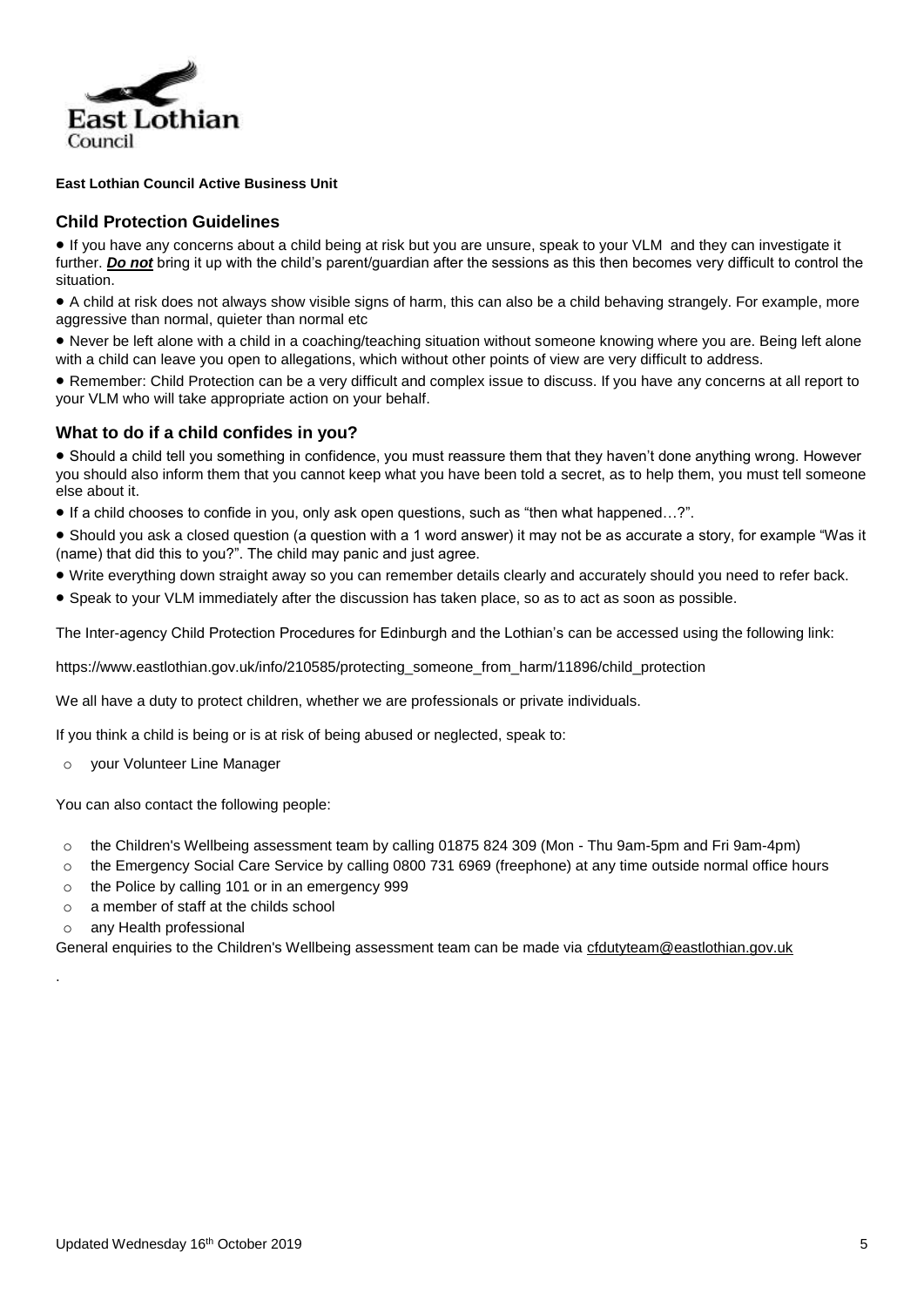

# **Child Protection Guidelines**

 If you have any concerns about a child being at risk but you are unsure, speak to your VLM and they can investigate it further. **Do not** bring it up with the child's parent/guardian after the sessions as this then becomes very difficult to control the situation.

 A child at risk does not always show visible signs of harm, this can also be a child behaving strangely. For example, more aggressive than normal, quieter than normal etc

 Never be left alone with a child in a coaching/teaching situation without someone knowing where you are. Being left alone with a child can leave you open to allegations, which without other points of view are very difficult to address.

 Remember: Child Protection can be a very difficult and complex issue to discuss. If you have any concerns at all report to your VLM who will take appropriate action on your behalf.

# **What to do if a child confides in you?**

 Should a child tell you something in confidence, you must reassure them that they haven't done anything wrong. However you should also inform them that you cannot keep what you have been told a secret, as to help them, you must tell someone else about it.

■ If a child chooses to confide in you, only ask open questions, such as "then what happened...?".

 Should you ask a closed question (a question with a 1 word answer) it may not be as accurate a story, for example "Was it (name) that did this to you?". The child may panic and just agree.

- Write everything down straight away so you can remember details clearly and accurately should you need to refer back.
- Speak to your VLM immediately after the discussion has taken place, so as to act as soon as possible.

The [Inter-agency Child Protection Procedures for Edinburgh and the Lothian's](http://emppc.org.uk/file/Child_Protection/Inter-agency_Child_Protection_Procedures_-_Edinburgh__the_Lothians_Oct_2015.pdf) can be accessed using the following link:

https://www.eastlothian.gov.uk/info/210585/protecting\_someone\_from\_harm/11896/child\_protection

We all have a duty to protect children, whether we are professionals or private individuals.

If you think a child is being or is at risk of being abused or neglected, speak to:

o your Volunteer Line Manager

You can also contact the following people:

- $\circ$  the Children's Wellbeing assessment team by calling 01875 824 309 (Mon Thu 9am-5pm and Fri 9am-4pm)
- o the Emergency Social Care Service by calling 0800 731 6969 (freephone) at any time outside normal office hours
- o the Police by calling 101 or in an emergency 999
- o a member of staff at the childs school
- o any Health professional

.

General enquiries to the Children's Wellbeing assessment team can be made via [cfdutyteam@eastlothian.gov.uk](mailto:cfdutyteam@eastlothian.gov.uk)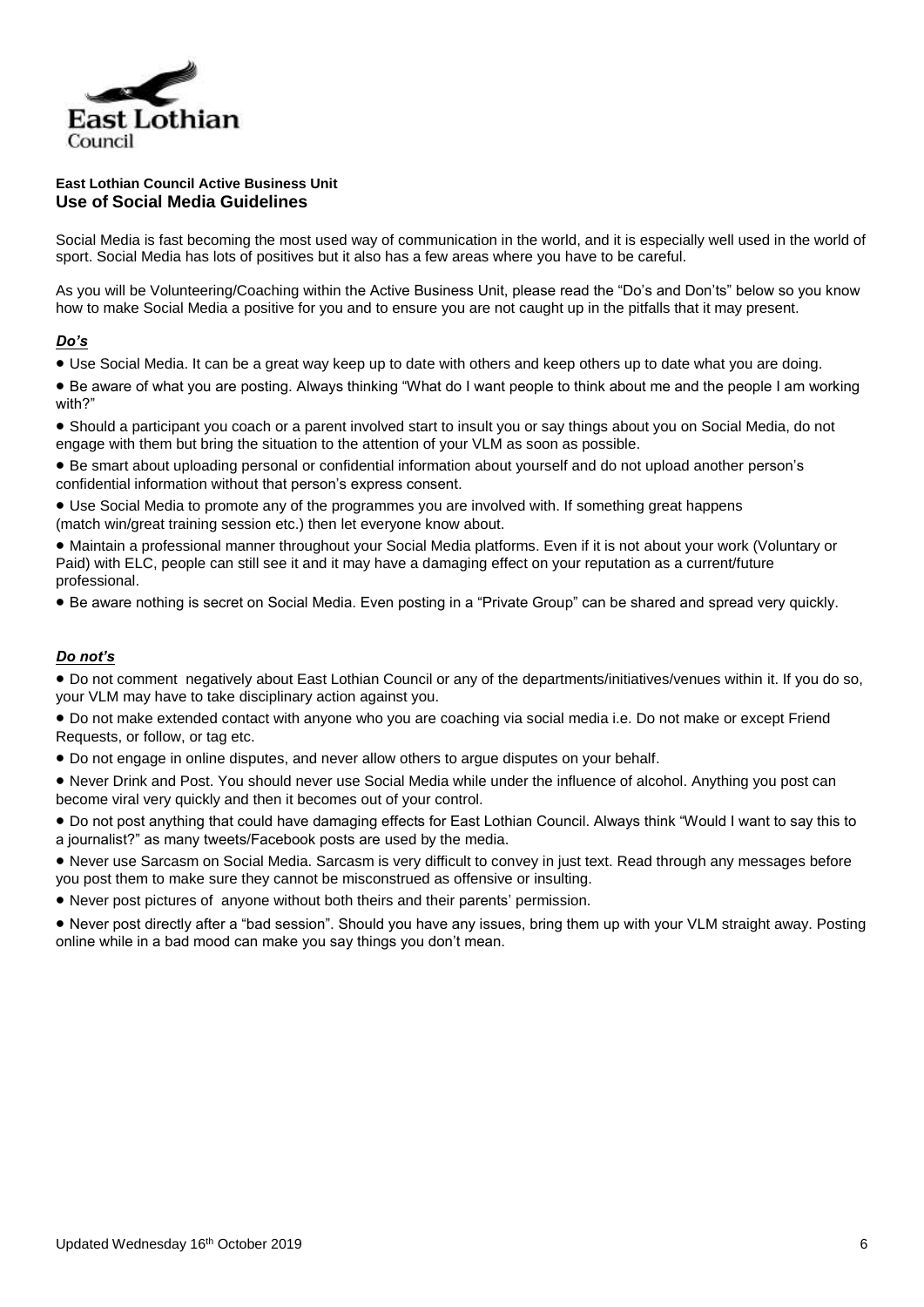

#### **East Lothian Council Active Business Unit Use of Social Media Guidelines**

Social Media is fast becoming the most used way of communication in the world, and it is especially well used in the world of sport. Social Media has lots of positives but it also has a few areas where you have to be careful.

As you will be Volunteering/Coaching within the Active Business Unit, please read the "Do's and Don'ts" below so you know how to make Social Media a positive for you and to ensure you are not caught up in the pitfalls that it may present.

# *Do's*

Use Social Media. It can be a great way keep up to date with others and keep others up to date what you are doing.

 Be aware of what you are posting. Always thinking "What do I want people to think about me and the people I am working with?"

 Should a participant you coach or a parent involved start to insult you or say things about you on Social Media, do not engage with them but bring the situation to the attention of your VLM as soon as possible.

 Be smart about uploading personal or confidential information about yourself and do not upload another person's confidential information without that person's express consent.

 Use Social Media to promote any of the programmes you are involved with. If something great happens (match win/great training session etc.) then let everyone know about.

 Maintain a professional manner throughout your Social Media platforms. Even if it is not about your work (Voluntary or Paid) with ELC, people can still see it and it may have a damaging effect on your reputation as a current/future professional.

Be aware nothing is secret on Social Media. Even posting in a "Private Group" can be shared and spread very quickly.

# *Do not's*

 Do not comment negatively about East Lothian Council or any of the departments/initiatives/venues within it. If you do so, your VLM may have to take disciplinary action against you.

 Do not make extended contact with anyone who you are coaching via social media i.e. Do not make or except Friend Requests, or follow, or tag etc.

Do not engage in online disputes, and never allow others to argue disputes on your behalf.

 Never Drink and Post. You should never use Social Media while under the influence of alcohol. Anything you post can become viral very quickly and then it becomes out of your control.

 Do not post anything that could have damaging effects for East Lothian Council. Always think "Would I want to say this to a journalist?" as many tweets/Facebook posts are used by the media.

 Never use Sarcasm on Social Media. Sarcasm is very difficult to convey in just text. Read through any messages before you post them to make sure they cannot be misconstrued as offensive or insulting.

Never post pictures of anyone without both theirs and their parents' permission.

 Never post directly after a "bad session". Should you have any issues, bring them up with your VLM straight away. Posting online while in a bad mood can make you say things you don't mean.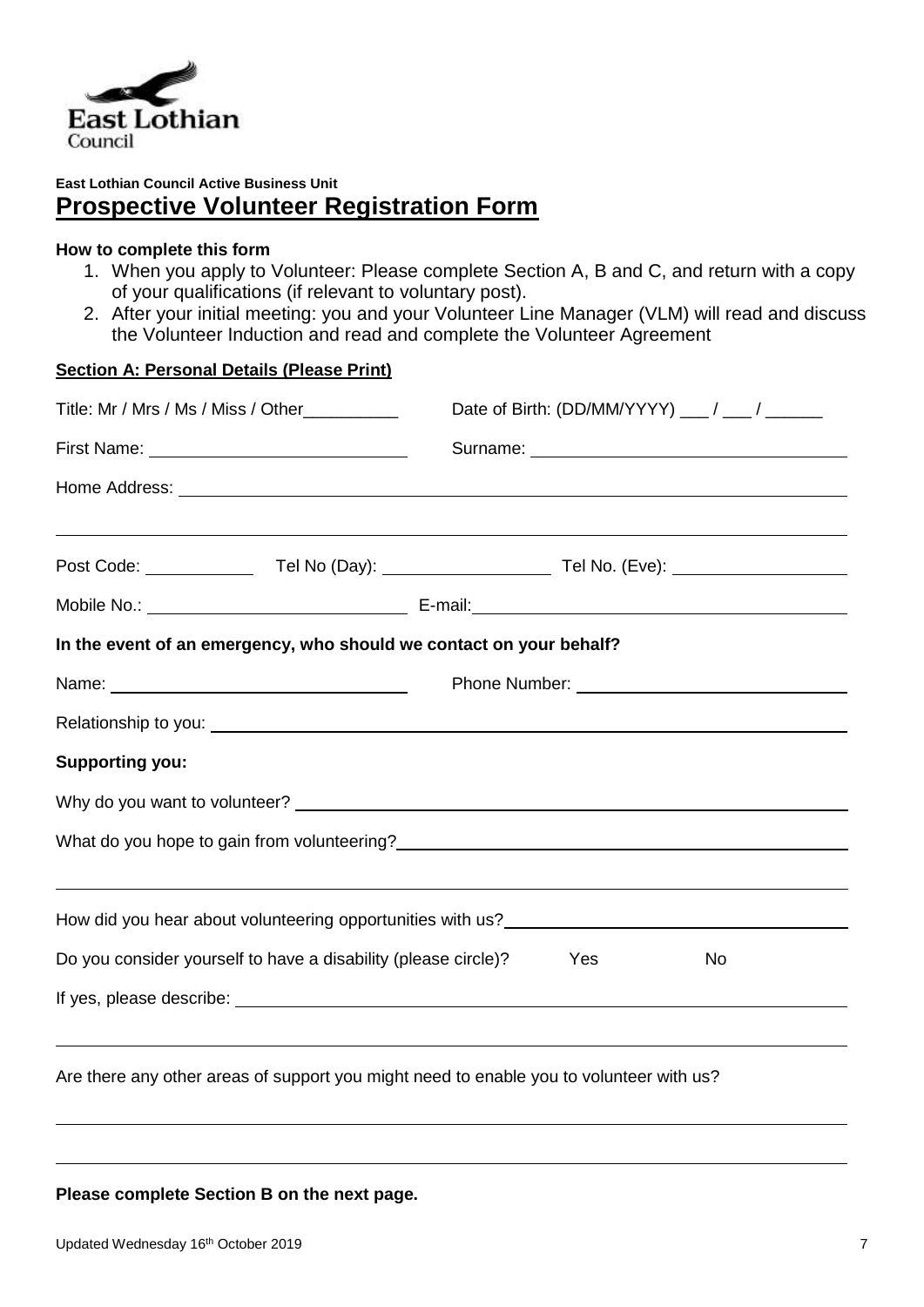

# **East Lothian Council Active Business Unit Prospective Volunteer Registration Form**

# **How to complete this form**

**Section A: Personal Details (Please Print)**

- 1. When you apply to Volunteer: Please complete Section A, B and C, and return with a copy of your qualifications (if relevant to voluntary post).
- 2. After your initial meeting: you and your Volunteer Line Manager (VLM) will read and discuss the Volunteer Induction and read and complete the Volunteer Agreement

| Title: Mr / Mrs / Ms / Miss / Other___________                                                                                                                                                                                       |     | Date of Birth: (DD/MM/YYYY) ___ / ___ / _____                                                                                                                                                                                 |  |
|--------------------------------------------------------------------------------------------------------------------------------------------------------------------------------------------------------------------------------------|-----|-------------------------------------------------------------------------------------------------------------------------------------------------------------------------------------------------------------------------------|--|
|                                                                                                                                                                                                                                      |     |                                                                                                                                                                                                                               |  |
| Home Address: <u>New York: New York: New York: New York: New York: New York: New York: New York: New York: New York: New York: New York: New York: New York: New York: New York: New York: New York: New York: New York: New Yor</u> |     |                                                                                                                                                                                                                               |  |
| ,我们也不会有什么。""我们的人,我们也不会有什么?""我们的人,我们也不会有什么?""我们的人,我们也不会有什么?""我们的人,我们也不会有什么?""我们的人                                                                                                                                                     |     |                                                                                                                                                                                                                               |  |
|                                                                                                                                                                                                                                      |     |                                                                                                                                                                                                                               |  |
| In the event of an emergency, who should we contact on your behalf?                                                                                                                                                                  |     |                                                                                                                                                                                                                               |  |
|                                                                                                                                                                                                                                      |     | Phone Number: University of the Mumber of the Mumbers of the Mumbers of the Mumbers of the Mumbers of the Mumbers of the Mumbers of the Mumbers of the Mumbers of the Mumbers of the Mumbers of the Mumbers of the Mumbers of |  |
|                                                                                                                                                                                                                                      |     |                                                                                                                                                                                                                               |  |
| <b>Supporting you:</b>                                                                                                                                                                                                               |     |                                                                                                                                                                                                                               |  |
|                                                                                                                                                                                                                                      |     |                                                                                                                                                                                                                               |  |
| What do you hope to gain from volunteering?<br><u> What do you hope to gain from volunteering?</u>                                                                                                                                   |     |                                                                                                                                                                                                                               |  |
| How did you hear about volunteering opportunities with us?<br>How did you hear about volunteering opportunities with us?                                                                                                             |     |                                                                                                                                                                                                                               |  |
| Do you consider yourself to have a disability (please circle)?                                                                                                                                                                       | Yes | No                                                                                                                                                                                                                            |  |
|                                                                                                                                                                                                                                      |     |                                                                                                                                                                                                                               |  |
| Are there any other areas of support you might need to enable you to volunteer with us?                                                                                                                                              |     |                                                                                                                                                                                                                               |  |

# **Please complete Section B on the next page.**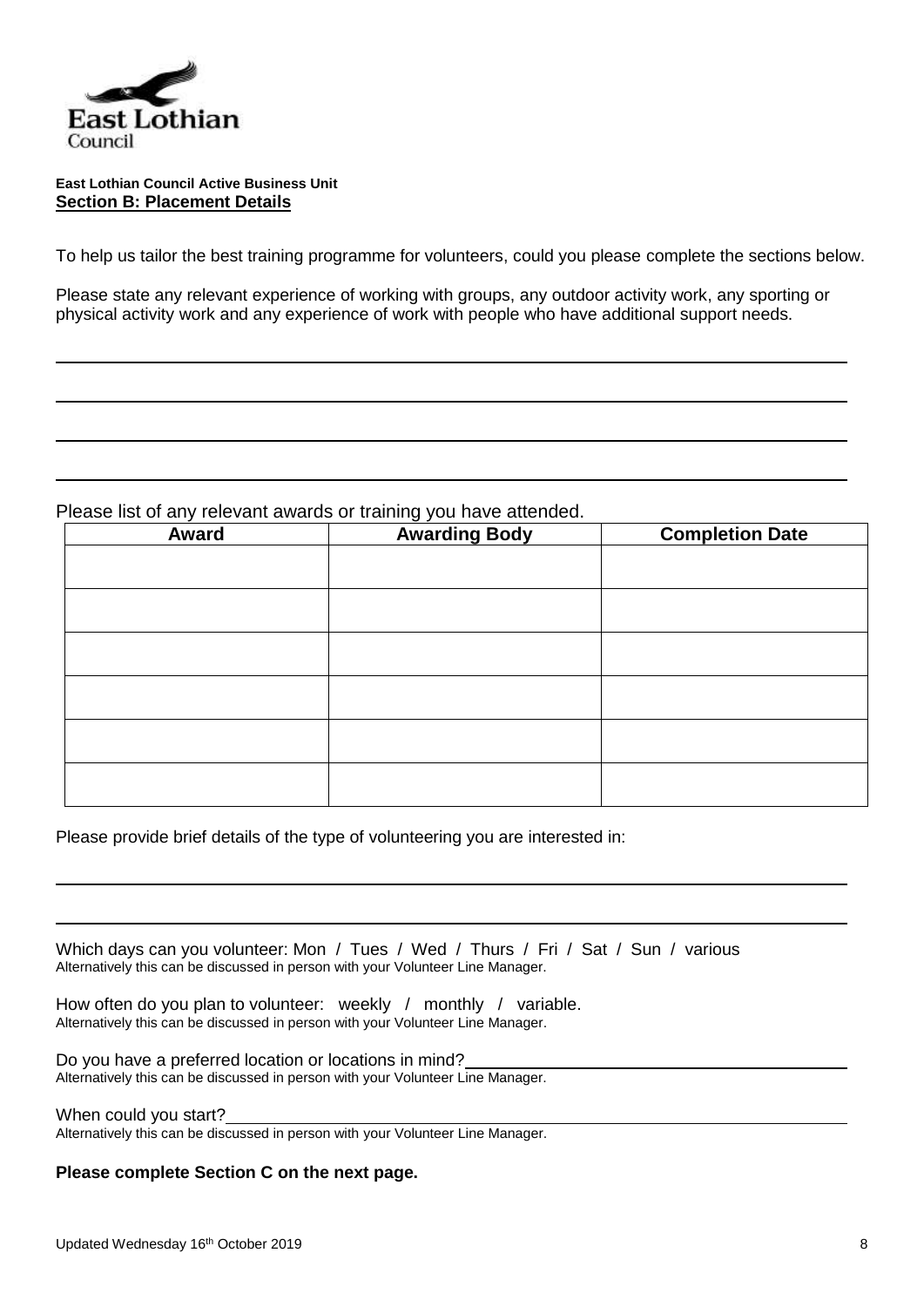

# **East Lothian Council Active Business Unit Section B: Placement Details**

To help us tailor the best training programme for volunteers, could you please complete the sections below.

Please state any relevant experience of working with groups, any outdoor activity work, any sporting or physical activity work and any experience of work with people who have additional support needs.

Please list of any relevant awards or training you have attended.

| Award | $\overline{\phantom{a}}$<br><b>Awarding Body</b> | <b>Completion Date</b> |
|-------|--------------------------------------------------|------------------------|
|       |                                                  |                        |
|       |                                                  |                        |
|       |                                                  |                        |
|       |                                                  |                        |
|       |                                                  |                        |
|       |                                                  |                        |
|       |                                                  |                        |
|       |                                                  |                        |
|       |                                                  |                        |
|       |                                                  |                        |
|       |                                                  |                        |

Please provide brief details of the type of volunteering you are interested in:

| Which days can you volunteer: Mon / Tues / Wed / Thurs / Fri / Sat / Sun / various |  |
|------------------------------------------------------------------------------------|--|
| Alternatively this can be discussed in person with your Volunteer Line Manager.    |  |

How often do you plan to volunteer: weekly / monthly / variable. Alternatively this can be discussed in person with your Volunteer Line Manager.

Do you have a preferred location or locations in mind? Alternatively this can be discussed in person with your Volunteer Line Manager.

When could you start?

Alternatively this can be discussed in person with your Volunteer Line Manager.

**Please complete Section C on the next page.**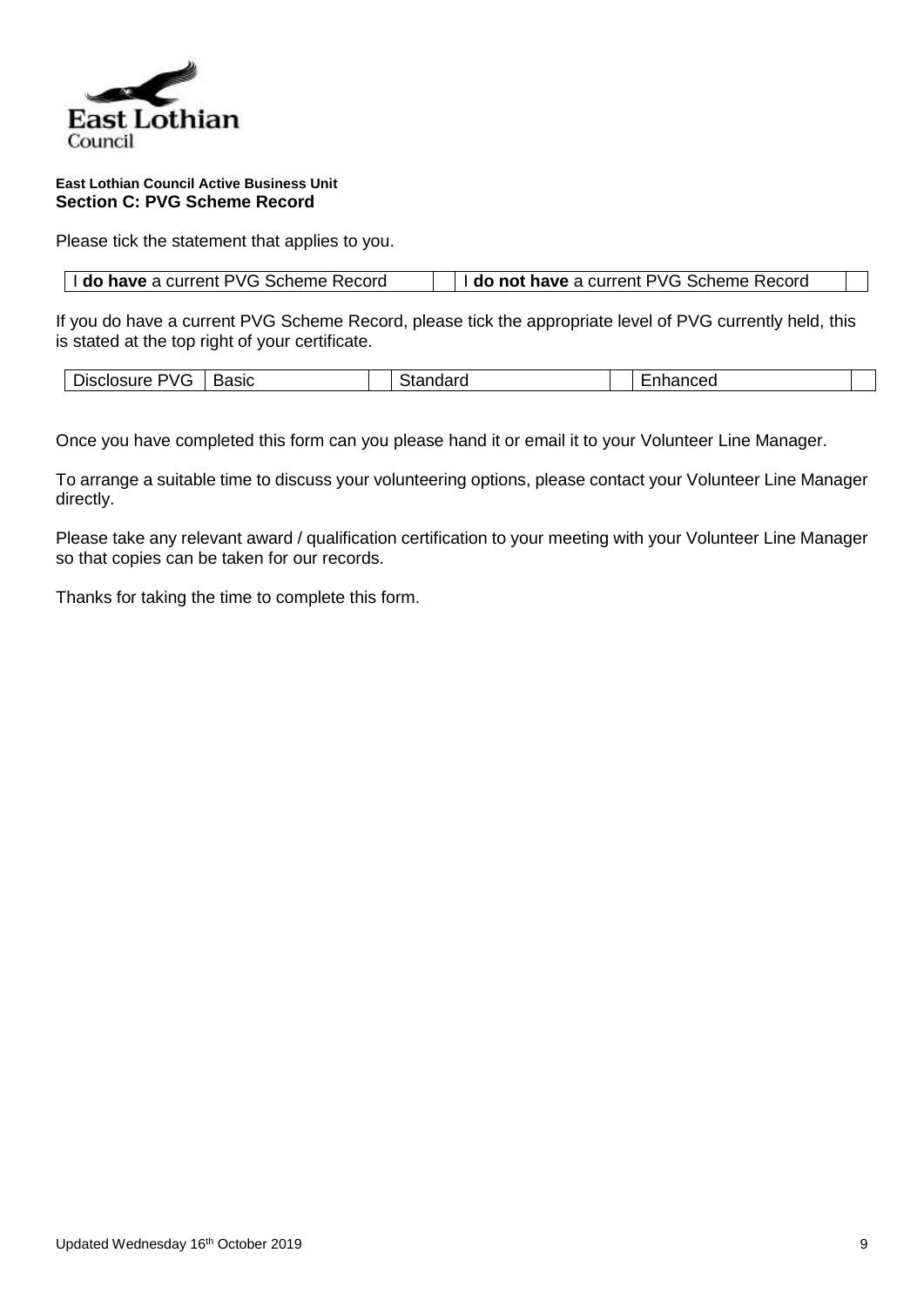

#### **East Lothian Council Active Business Unit Section C: PVG Scheme Record**

Please tick the statement that applies to you.

| I do have a current PVG Scheme Record | I do not have a current PVG Scheme Record |  |
|---------------------------------------|-------------------------------------------|--|
|                                       |                                           |  |

If you do have a current PVG Scheme Record, please tick the appropriate level of PVG currently held, this is stated at the top right of your certificate.

| Basıc<br>. אנ<br>'VC<br>309<br>.<br>IUGU<br>___<br>_____<br>$\sim$ |
|--------------------------------------------------------------------|
|--------------------------------------------------------------------|

Once you have completed this form can you please hand it or email it to your Volunteer Line Manager.

To arrange a suitable time to discuss your volunteering options, please contact your Volunteer Line Manager directly.

Please take any relevant award / qualification certification to your meeting with your Volunteer Line Manager so that copies can be taken for our records.

Thanks for taking the time to complete this form.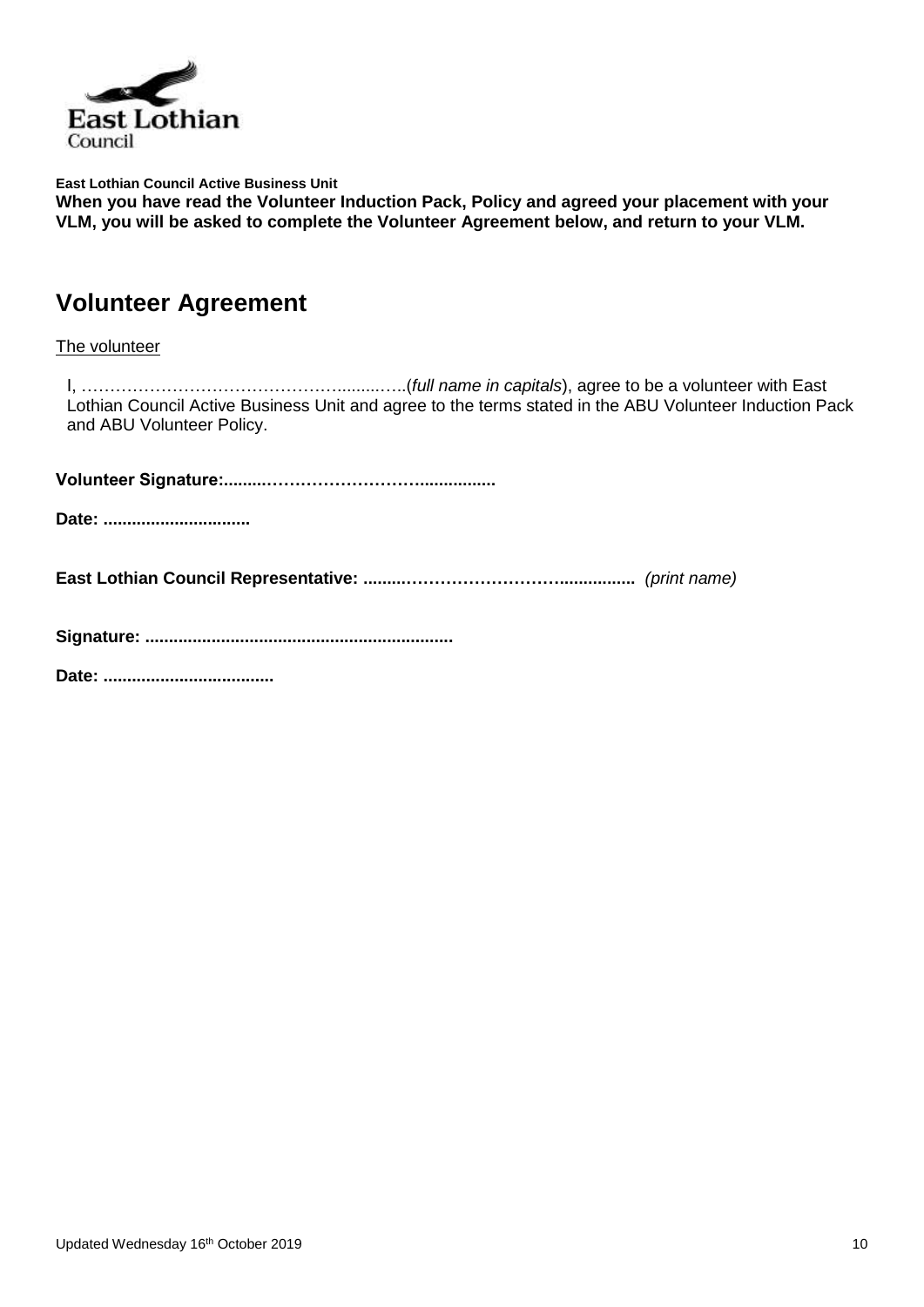

**East Lothian Council Active Business Unit When you have read the Volunteer Induction Pack, Policy and agreed your placement with your VLM, you will be asked to complete the Volunteer Agreement below, and return to your VLM.**

# **Volunteer Agreement**

The volunteer

I, ……………………………………….........…..(*full name in capitals*), agree to be a volunteer with East Lothian Council Active Business Unit and agree to the terms stated in the ABU Volunteer Induction Pack and ABU Volunteer Policy.

**Volunteer Signature:.........………………………................** 

**Date: ...............................**

**East Lothian Council Representative: .........………………………................** *(print name)*

**Date: ....................................**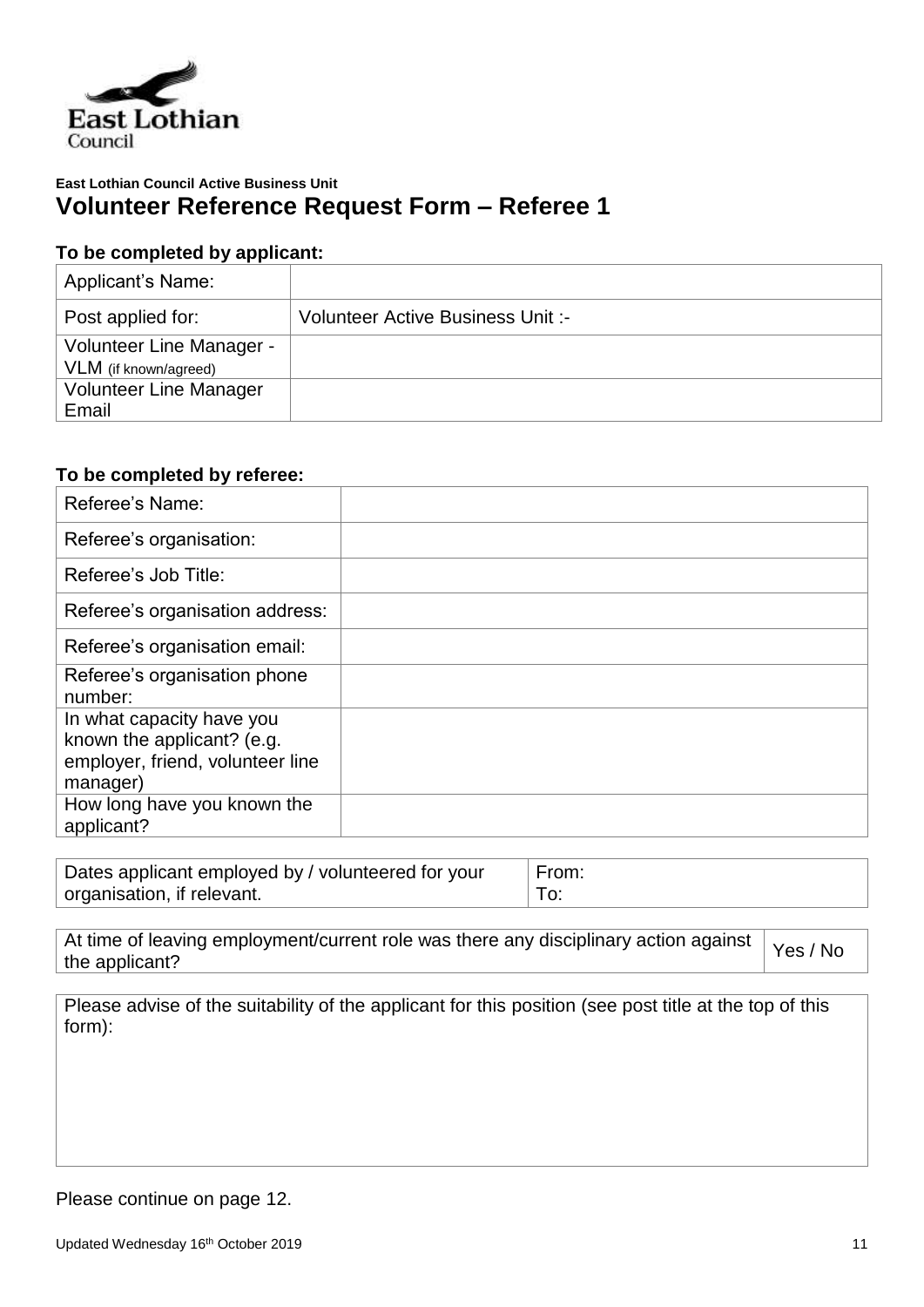

# **East Lothian Council Active Business Unit Volunteer Reference Request Form – Referee 1**

# **To be completed by applicant:**

| Applicant's Name:                                 |                                  |
|---------------------------------------------------|----------------------------------|
| Post applied for:                                 | Volunteer Active Business Unit:- |
| Volunteer Line Manager -<br>VLM (if known/agreed) |                                  |
| <b>Volunteer Line Manager</b><br>Email            |                                  |

# **To be completed by referee:**

| Referee's Name:                                                                                         |  |
|---------------------------------------------------------------------------------------------------------|--|
| Referee's organisation:                                                                                 |  |
| Referee's Job Title:                                                                                    |  |
| Referee's organisation address:                                                                         |  |
| Referee's organisation email:                                                                           |  |
| Referee's organisation phone<br>number:                                                                 |  |
| In what capacity have you<br>known the applicant? (e.g.<br>employer, friend, volunteer line<br>manager) |  |
| How long have you known the<br>applicant?                                                               |  |

| Dates applicant employed by / volunteered for your | From: |
|----------------------------------------------------|-------|
| organisation, if relevant.                         |       |

At time of leaving employment/current role was there any disciplinary action against  $\bigg\vert$  Yes / No<br>the applicant?

Please advise of the suitability of the applicant for this position (see post title at the top of this form):

# Please continue on page 12.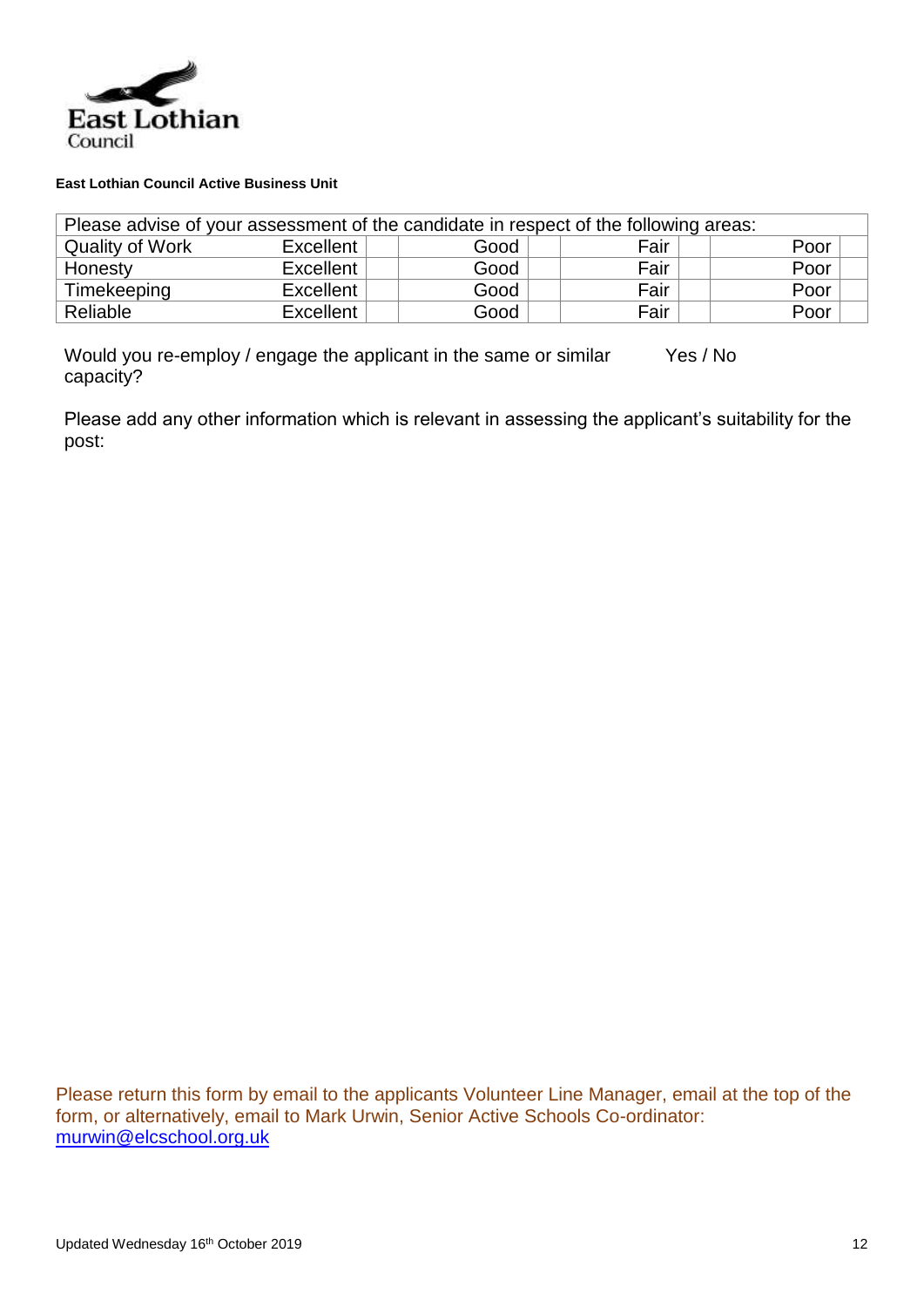

| Please advise of your assessment of the candidate in respect of the following areas: |           |      |      |      |
|--------------------------------------------------------------------------------------|-----------|------|------|------|
| Quality of Work                                                                      | Excellent | Good | Fair | Poor |
| Honesty                                                                              | Excellent | Good | Fair | Poor |
| Timekeeping                                                                          | Excellent | Good | Fair | Poor |
| Reliable                                                                             | Excellent | Good | Fair | Poor |
|                                                                                      |           |      |      |      |

Would you re-employ / engage the applicant in the same or similar capacity? Yes / No

Please add any other information which is relevant in assessing the applicant's suitability for the post:

Please return this form by email to the applicants Volunteer Line Manager, email at the top of the form, or alternatively, email to Mark Urwin, Senior Active Schools Co-ordinator: [murwin@elcschool.org.uk](mailto:murwin@elcschool.org.uk)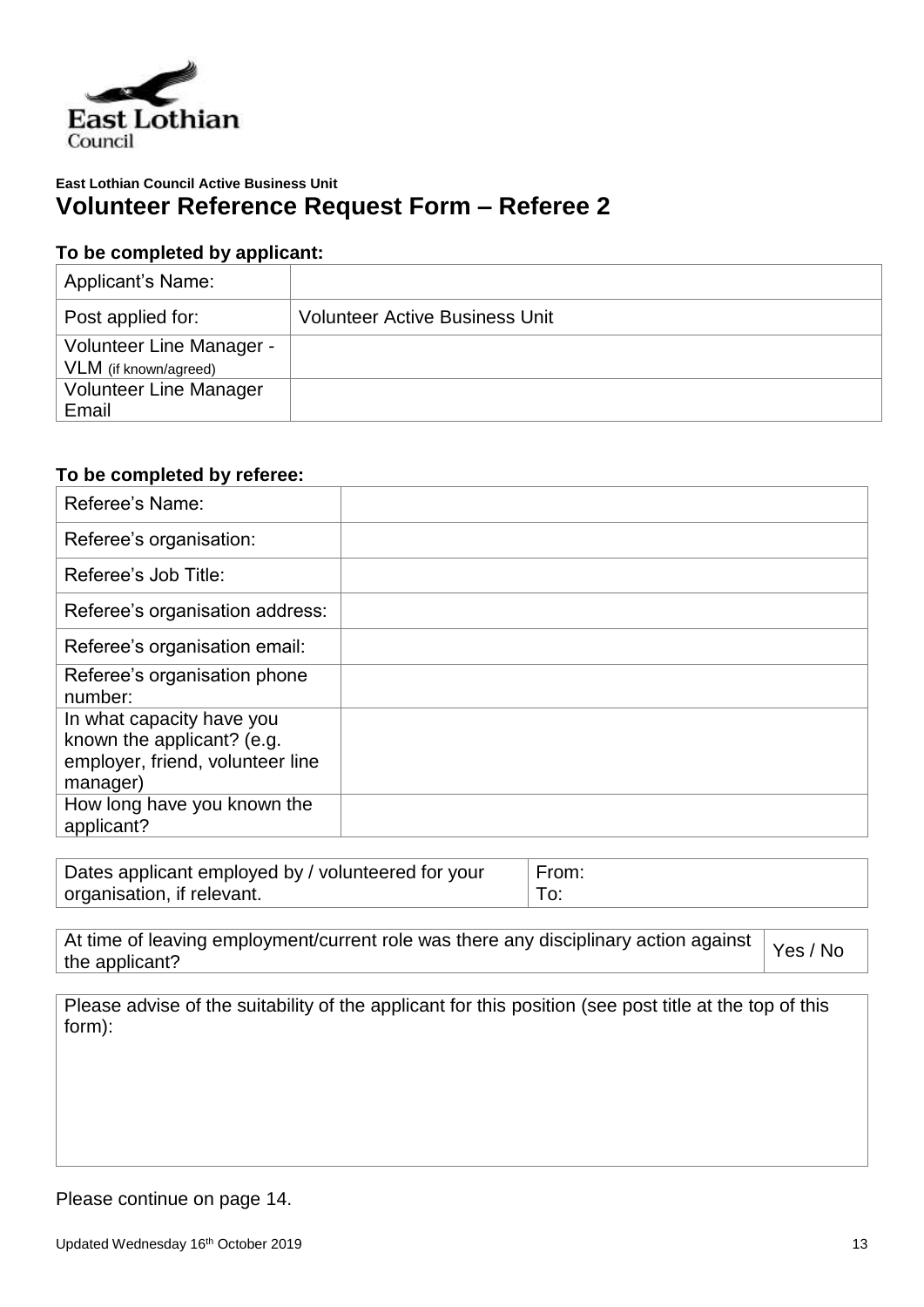

# **East Lothian Council Active Business Unit Volunteer Reference Request Form – Referee 2**

# **To be completed by applicant:**

| Applicant's Name:                                 |                                       |
|---------------------------------------------------|---------------------------------------|
| Post applied for:                                 | <b>Volunteer Active Business Unit</b> |
| Volunteer Line Manager -<br>VLM (if known/agreed) |                                       |
| <b>Volunteer Line Manager</b><br>Email            |                                       |

# **To be completed by referee:**

| Referee's Name:                                                                                         |  |
|---------------------------------------------------------------------------------------------------------|--|
| Referee's organisation:                                                                                 |  |
| Referee's Job Title:                                                                                    |  |
| Referee's organisation address:                                                                         |  |
| Referee's organisation email:                                                                           |  |
| Referee's organisation phone<br>number:                                                                 |  |
| In what capacity have you<br>known the applicant? (e.g.<br>employer, friend, volunteer line<br>manager) |  |
| How long have you known the<br>applicant?                                                               |  |

| Dates applicant employed by / volunteered for your | From: |
|----------------------------------------------------|-------|
| organisation, if relevant.                         |       |

At time of leaving employment/current role was there any disciplinary action against  $\bigg\vert$  Yes / No<br>the applicant?

Please advise of the suitability of the applicant for this position (see post title at the top of this form):

# Please continue on page 14.